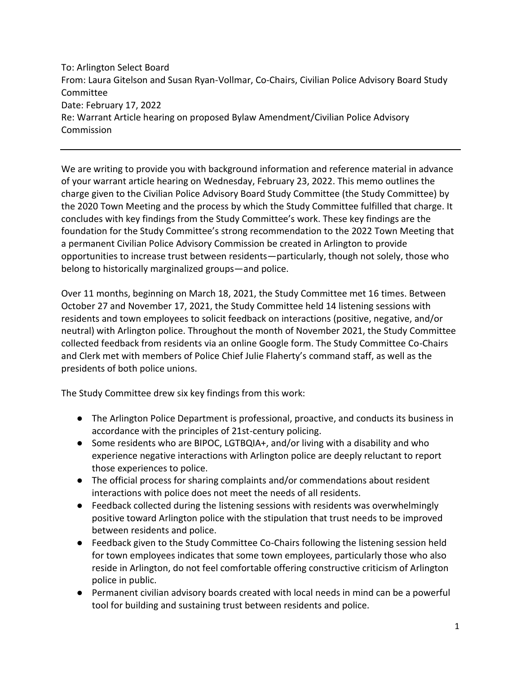To: Arlington Select Board From: Laura Gitelson and Susan Ryan-Vollmar, Co-Chairs, Civilian Police Advisory Board Study Committee Date: February 17, 2022 Re: Warrant Article hearing on proposed Bylaw Amendment/Civilian Police Advisory Commission

We are writing to provide you with background information and reference material in advance of your warrant article hearing on Wednesday, February 23, 2022. This memo outlines the charge given to the Civilian Police Advisory Board Study Committee (the Study Committee) by the 2020 Town Meeting and the process by which the Study Committee fulfilled that charge. It concludes with key findings from the Study Committee's work. These key findings are the foundation for the Study Committee's strong recommendation to the 2022 Town Meeting that a permanent Civilian Police Advisory Commission be created in Arlington to provide opportunities to increase trust between residents—particularly, though not solely, those who belong to historically marginalized groups—and police.

Over 11 months, beginning on March 18, 2021, the Study Committee met 16 times. Between October 27 and November 17, 2021, the Study Committee held 14 listening sessions with residents and town employees to solicit feedback on interactions (positive, negative, and/or neutral) with Arlington police. Throughout the month of November 2021, the Study Committee collected feedback from residents via an online Google form. The Study Committee Co-Chairs and Clerk met with members of Police Chief Julie Flaherty's command staff, as well as the presidents of both police unions.

The Study Committee drew six key findings from this work:

- The Arlington Police Department is professional, proactive, and conducts its business in accordance with the principles of 21st-century policing.
- Some residents who are BIPOC, LGTBQIA+, and/or living with a disability and who experience negative interactions with Arlington police are deeply reluctant to report those experiences to police.
- The official process for sharing complaints and/or commendations about resident interactions with police does not meet the needs of all residents.
- Feedback collected during the listening sessions with residents was overwhelmingly positive toward Arlington police with the stipulation that trust needs to be improved between residents and police.
- Feedback given to the Study Committee Co-Chairs following the listening session held for town employees indicates that some town employees, particularly those who also reside in Arlington, do not feel comfortable offering constructive criticism of Arlington police in public.
- Permanent civilian advisory boards created with local needs in mind can be a powerful tool for building and sustaining trust between residents and police.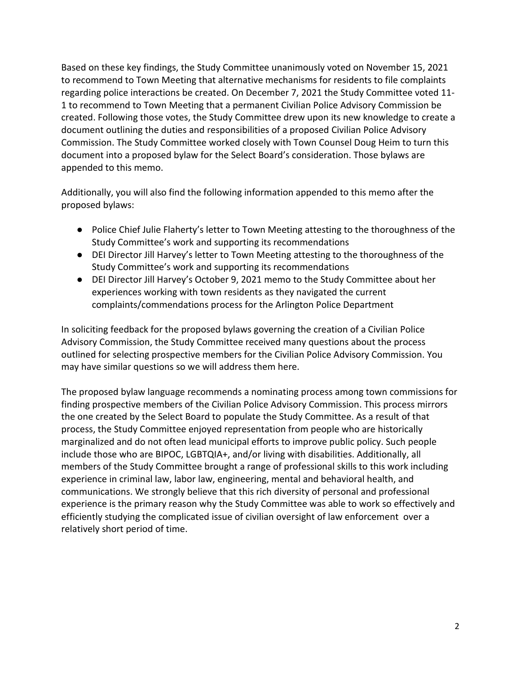Based on these key findings, the Study Committee unanimously voted on November 15, 2021 to recommend to Town Meeting that alternative mechanisms for residents to file complaints regarding police interactions be created. On December 7, 2021 the Study Committee voted 11- 1 to recommend to Town Meeting that a permanent Civilian Police Advisory Commission be created. Following those votes, the Study Committee drew upon its new knowledge to create a document outlining the duties and responsibilities of a proposed Civilian Police Advisory Commission. The Study Committee worked closely with Town Counsel Doug Heim to turn this document into a proposed bylaw for the Select Board's consideration. Those bylaws are appended to this memo.

Additionally, you will also find the following information appended to this memo after the proposed bylaws:

- Police Chief Julie Flaherty's letter to Town Meeting attesting to the thoroughness of the Study Committee's work and supporting its recommendations
- DEI Director Jill Harvey's letter to Town Meeting attesting to the thoroughness of the Study Committee's work and supporting its recommendations
- DEI Director Jill Harvey's October 9, 2021 memo to the Study Committee about her experiences working with town residents as they navigated the current complaints/commendations process for the Arlington Police Department

In soliciting feedback for the proposed bylaws governing the creation of a Civilian Police Advisory Commission, the Study Committee received many questions about the process outlined for selecting prospective members for the Civilian Police Advisory Commission. You may have similar questions so we will address them here.

The proposed bylaw language recommends a nominating process among town commissions for finding prospective members of the Civilian Police Advisory Commission. This process mirrors the one created by the Select Board to populate the Study Committee. As a result of that process, the Study Committee enjoyed representation from people who are historically marginalized and do not often lead municipal efforts to improve public policy. Such people include those who are BIPOC, LGBTQIA+, and/or living with disabilities. Additionally, all members of the Study Committee brought a range of professional skills to this work including experience in criminal law, labor law, engineering, mental and behavioral health, and communications. We strongly believe that this rich diversity of personal and professional experience is the primary reason why the Study Committee was able to work so effectively and efficiently studying the complicated issue of civilian oversight of law enforcement over a relatively short period of time.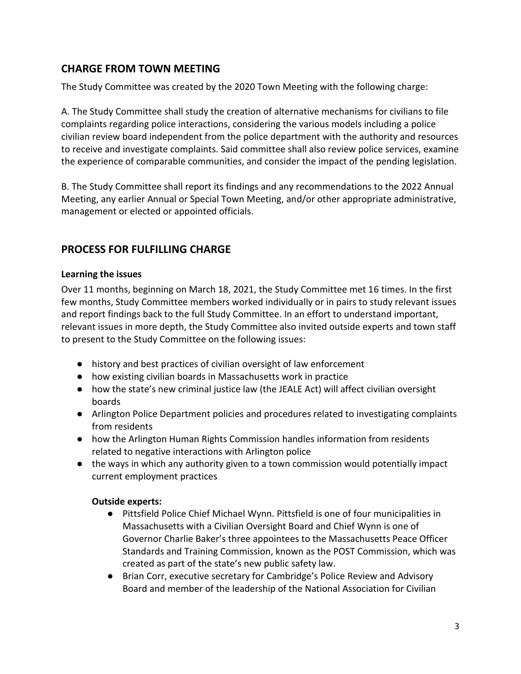# **CHARGE FROM TOWN MEETING**

The Study Committee was created by the 2020 Town Meeting with the following charge:

A. The Study Committee shall study the creation of alternative mechanisms for civilians to file complaints regarding police interactions, considering the various models including a police civilian review board independent from the police department with the authority and resources to receive and investigate complaints. Said committee shall also review police services, examine the experience of comparable communities, and consider the impact of the pending legislation.

B. The Study Committee shall report its findings and any recommendations to the 2022 Annual Meeting, any earlier Annual or Special Town Meeting, and/or other appropriate administrative, management or elected or appointed officials.

# **PROCESS FOR FULFILLING CHARGE**

## **Learning the issues**

Over 11 months, beginning on March 18, 2021, the Study Committee met 16 times. In the first few months, Study Committee members worked individually or in pairs to study relevant issues and report findings back to the full Study Committee. In an effort to understand important, relevant issues in more depth, the Study Committee also invited outside experts and town staff to present to the Study Committee on the following issues:

- history and best practices of civilian oversight of law enforcement
- how existing civilian boards in Massachusetts work in practice
- how the state's new criminal justice law (the JEALE Act) will affect civilian oversight boards
- Arlington Police Department policies and procedures related to investigating complaints from residents
- how the Arlington Human Rights Commission handles information from residents related to negative interactions with Arlington police
- the ways in which any authority given to a town commission would potentially impact current employment practices

## **Outside experts:**

- Pittsfield Police Chief Michael Wynn. Pittsfield is one of four municipalities in Massachusetts with a Civilian Oversight Board and Chief Wynn is one of Governor Charlie Baker's three appointees to the Massachusetts Peace Officer Standards and Training Commission, known as the POST Commission, which was created as part of the state's new public safety law.
- Brian Corr, executive secretary for Cambridge's Police Review and Advisory Board and member of the leadership of the National Association for Civilian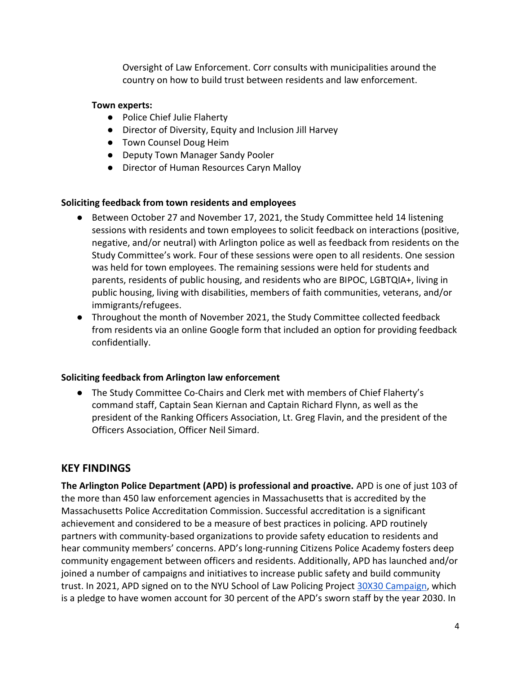Oversight of Law Enforcement. Corr consults with municipalities around the country on how to build trust between residents and law enforcement.

## **Town experts:**

- Police Chief Julie Flaherty
- Director of Diversity, Equity and Inclusion Jill Harvey
- Town Counsel Doug Heim
- Deputy Town Manager Sandy Pooler
- Director of Human Resources Caryn Malloy

## **Soliciting feedback from town residents and employees**

- Between October 27 and November 17, 2021, the Study Committee held 14 listening sessions with residents and town employees to solicit feedback on interactions (positive, negative, and/or neutral) with Arlington police as well as feedback from residents on the Study Committee's work. Four of these sessions were open to all residents. One session was held for town employees. The remaining sessions were held for students and parents, residents of public housing, and residents who are BIPOC, LGBTQIA+, living in public housing, living with disabilities, members of faith communities, veterans, and/or immigrants/refugees.
- Throughout the month of November 2021, the Study Committee collected feedback from residents via an online Google form that included an option for providing feedback confidentially.

## **Soliciting feedback from Arlington law enforcement**

● The Study Committee Co-Chairs and Clerk met with members of Chief Flaherty's command staff, Captain Sean Kiernan and Captain Richard Flynn, as well as the president of the Ranking Officers Association, Lt. Greg Flavin, and the president of the Officers Association, Officer Neil Simard.

# **KEY FINDINGS**

**The Arlington Police Department (APD) is professional and proactive.** APD is one of just 103 of the more than 450 law enforcement agencies in Massachusetts that is accredited by the Massachusetts Police Accreditation Commission. Successful accreditation is a significant achievement and considered to be a measure of best practices in policing. APD routinely partners with community-based organizations to provide safety education to residents and hear community members' concerns. APD's long-running Citizens Police Academy fosters deep community engagement between officers and residents. Additionally, APD has launched and/or joined a number of campaigns and initiatives to increase public safety and build community trust. In 2021, APD signed on to the NYU School of Law Policing Project [30X30 Campaign,](https://30x30initiative.org/) which is a pledge to have women account for 30 percent of the APD's sworn staff by the year 2030. In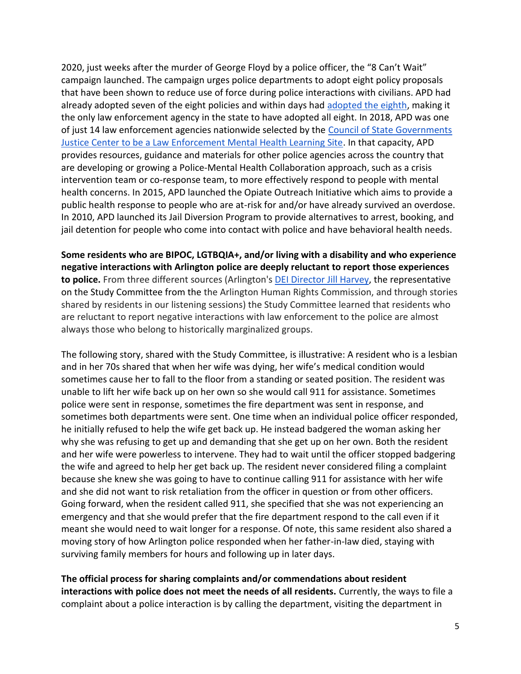2020, just weeks after the murder of George Floyd by a police officer, the "8 Can't Wait" campaign launched. The campaign urges police departments to adopt eight policy proposals that have been shown to reduce use of force during police interactions with civilians. APD had already adopted seven of the eight policies and within days had adopted [the eighth,](https://jgpr.net/2020/06/11/arlington-police-department-updates-use-of-force-policy-to-include-duty-to-intervene/) making it the only law enforcement agency in the state to have adopted all eight. In 2018, APD was one of just 14 law enforcement agencies nationwide selected by the [Council of State Governments](https://csgjusticecenter.org/projects/law-enforcement-mental-health-learning-sites/)  [Justice Center to be a Law Enforcement Mental Health Learning Site.](https://csgjusticecenter.org/projects/law-enforcement-mental-health-learning-sites/) In that capacity, APD provides resources, guidance and materials for other police agencies across the country that are developing or growing a Police-Mental Health Collaboration approach, such as a crisis intervention team or co-response team, to more effectively respond to people with mental health concerns. In 2015, APD launched the Opiate Outreach Initiative which aims to provide a public health response to people who are at-risk for and/or have already survived an overdose. In 2010, APD launched its Jail Diversion Program to provide alternatives to arrest, booking, and jail detention for people who come into contact with police and have behavioral health needs.

**Some residents who are BIPOC, LGTBQIA+, and/or living with a disability and who experience negative interactions with Arlington police are deeply reluctant to report those experiences to police.** From three different sources (Arlington's [DEI Director Jill Harvey,](https://www.arlingtonma.gov/home/showpublisheddocument/58332/637698106512300000) the representative on the Study Committee from the the Arlington Human Rights Commission, and through stories shared by residents in our listening sessions) the Study Committee learned that residents who are reluctant to report negative interactions with law enforcement to the police are almost always those who belong to historically marginalized groups.

The following story, shared with the Study Committee, is illustrative: A resident who is a lesbian and in her 70s shared that when her wife was dying, her wife's medical condition would sometimes cause her to fall to the floor from a standing or seated position. The resident was unable to lift her wife back up on her own so she would call 911 for assistance. Sometimes police were sent in response, sometimes the fire department was sent in response, and sometimes both departments were sent. One time when an individual police officer responded, he initially refused to help the wife get back up. He instead badgered the woman asking her why she was refusing to get up and demanding that she get up on her own. Both the resident and her wife were powerless to intervene. They had to wait until the officer stopped badgering the wife and agreed to help her get back up. The resident never considered filing a complaint because she knew she was going to have to continue calling 911 for assistance with her wife and she did not want to risk retaliation from the officer in question or from other officers. Going forward, when the resident called 911, she specified that she was not experiencing an emergency and that she would prefer that the fire department respond to the call even if it meant she would need to wait longer for a response. Of note, this same resident also shared a moving story of how Arlington police responded when her father-in-law died, staying with surviving family members for hours and following up in later days.

**The official process for sharing complaints and/or commendations about resident interactions with police does not meet the needs of all residents.** Currently, the ways to file a complaint about a police interaction is by calling the department, visiting the department in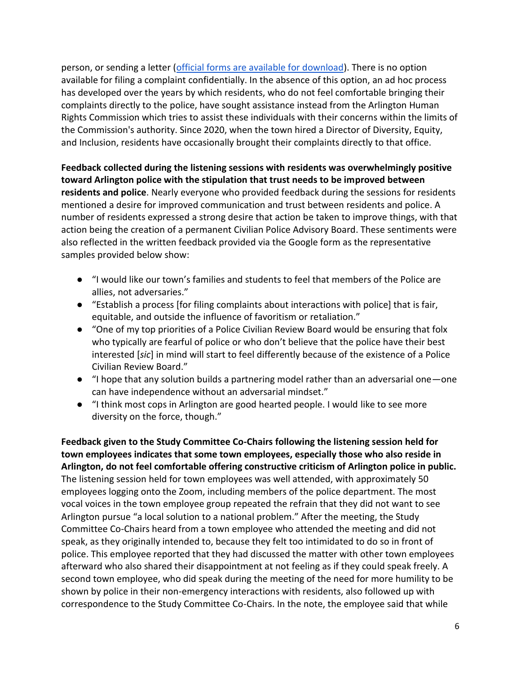person, or sending a letter [\(official forms are available for download\)](https://www.arlingtonma.gov/departments/police/officer-commendations-complaints). There is no option available for filing a complaint confidentially. In the absence of this option, an ad hoc process has developed over the years by which residents, who do not feel comfortable bringing their complaints directly to the police, have sought assistance instead from the Arlington Human Rights Commission which tries to assist these individuals with their concerns within the limits of the Commission's authority. Since 2020, when the town hired a Director of Diversity, Equity, and Inclusion, residents have occasionally brought their complaints directly to that office.

**Feedback collected during the listening sessions with residents was overwhelmingly positive toward Arlington police with the stipulation that trust needs to be improved between residents and police**. Nearly everyone who provided feedback during the sessions for residents mentioned a desire for improved communication and trust between residents and police. A number of residents expressed a strong desire that action be taken to improve things, with that action being the creation of a permanent Civilian Police Advisory Board. These sentiments were also reflected in the written feedback provided via the Google form as the representative samples provided below show:

- "I would like our town's families and students to feel that members of the Police are allies, not adversaries."
- "Establish a process [for filing complaints about interactions with police] that is fair, equitable, and outside the influence of favoritism or retaliation."
- "One of my top priorities of a Police Civilian Review Board would be ensuring that folx who typically are fearful of police or who don't believe that the police have their best interested [*sic*] in mind will start to feel differently because of the existence of a Police Civilian Review Board."
- "I hope that any solution builds a partnering model rather than an adversarial one—one can have independence without an adversarial mindset."
- "I think most cops in Arlington are good hearted people. I would like to see more diversity on the force, though."

**Feedback given to the Study Committee Co-Chairs following the listening session held for town employees indicates that some town employees, especially those who also reside in Arlington, do not feel comfortable offering constructive criticism of Arlington police in public.**  The listening session held for town employees was well attended, with approximately 50 employees logging onto the Zoom, including members of the police department. The most vocal voices in the town employee group repeated the refrain that they did not want to see Arlington pursue "a local solution to a national problem." After the meeting, the Study Committee Co-Chairs heard from a town employee who attended the meeting and did not speak, as they originally intended to, because they felt too intimidated to do so in front of police. This employee reported that they had discussed the matter with other town employees afterward who also shared their disappointment at not feeling as if they could speak freely. A second town employee, who did speak during the meeting of the need for more humility to be shown by police in their non-emergency interactions with residents, also followed up with correspondence to the Study Committee Co-Chairs. In the note, the employee said that while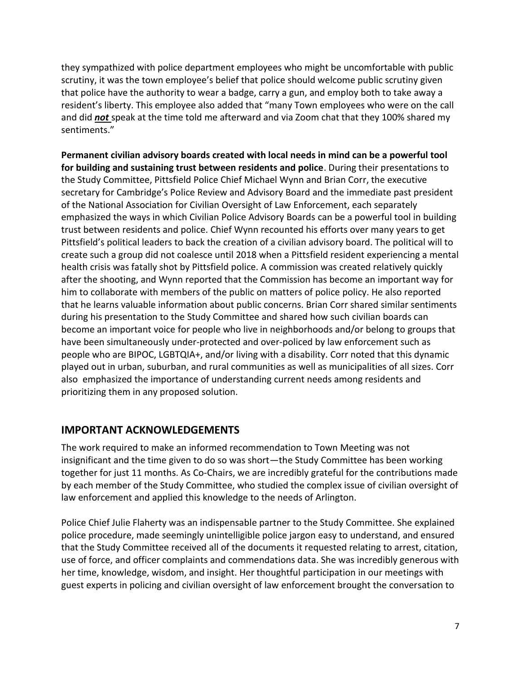they sympathized with police department employees who might be uncomfortable with public scrutiny, it was the town employee's belief that police should welcome public scrutiny given that police have the authority to wear a badge, carry a gun, and employ both to take away a resident's liberty. This employee also added that "many Town employees who were on the call and did *not* speak at the time told me afterward and via Zoom chat that they 100% shared my sentiments."

**Permanent civilian advisory boards created with local needs in mind can be a powerful tool for building and sustaining trust between residents and police**. During their presentations to the Study Committee, Pittsfield Police Chief Michael Wynn and Brian Corr, the executive secretary for Cambridge's Police Review and Advisory Board and the immediate past president of the National Association for Civilian Oversight of Law Enforcement, each separately emphasized the ways in which Civilian Police Advisory Boards can be a powerful tool in building trust between residents and police. Chief Wynn recounted his efforts over many years to get Pittsfield's political leaders to back the creation of a civilian advisory board. The political will to create such a group did not coalesce until 2018 when a Pittsfield resident experiencing a mental health crisis was fatally shot by Pittsfield police. A commission was created relatively quickly after the shooting, and Wynn reported that the Commission has become an important way for him to collaborate with members of the public on matters of police policy. He also reported that he learns valuable information about public concerns. Brian Corr shared similar sentiments during his presentation to the Study Committee and shared how such civilian boards can become an important voice for people who live in neighborhoods and/or belong to groups that have been simultaneously under-protected and over-policed by law enforcement such as people who are BIPOC, LGBTQIA+, and/or living with a disability. Corr noted that this dynamic played out in urban, suburban, and rural communities as well as municipalities of all sizes. Corr also emphasized the importance of understanding current needs among residents and prioritizing them in any proposed solution.

## **IMPORTANT ACKNOWLEDGEMENTS**

The work required to make an informed recommendation to Town Meeting was not insignificant and the time given to do so was short—the Study Committee has been working together for just 11 months. As Co-Chairs, we are incredibly grateful for the contributions made by each member of the Study Committee, who studied the complex issue of civilian oversight of law enforcement and applied this knowledge to the needs of Arlington.

Police Chief Julie Flaherty was an indispensable partner to the Study Committee. She explained police procedure, made seemingly unintelligible police jargon easy to understand, and ensured that the Study Committee received all of the documents it requested relating to arrest, citation, use of force, and officer complaints and commendations data. She was incredibly generous with her time, knowledge, wisdom, and insight. Her thoughtful participation in our meetings with guest experts in policing and civilian oversight of law enforcement brought the conversation to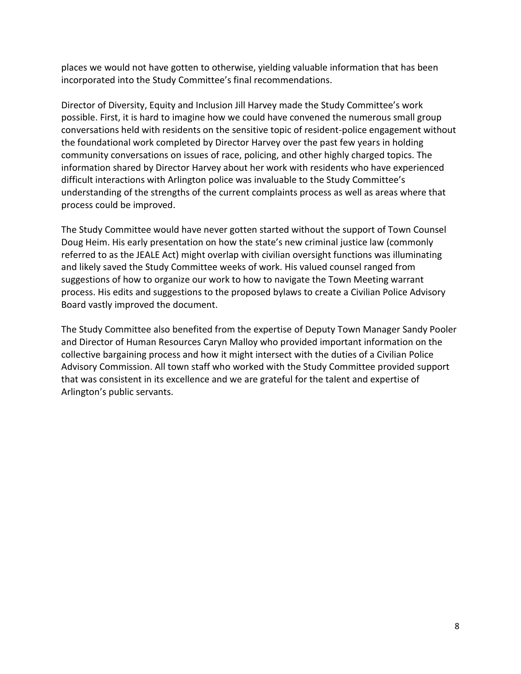places we would not have gotten to otherwise, yielding valuable information that has been incorporated into the Study Committee's final recommendations.

Director of Diversity, Equity and Inclusion Jill Harvey made the Study Committee's work possible. First, it is hard to imagine how we could have convened the numerous small group conversations held with residents on the sensitive topic of resident-police engagement without the foundational work completed by Director Harvey over the past few years in holding community conversations on issues of race, policing, and other highly charged topics. The information shared by Director Harvey about her work with residents who have experienced difficult interactions with Arlington police was invaluable to the Study Committee's understanding of the strengths of the current complaints process as well as areas where that process could be improved.

The Study Committee would have never gotten started without the support of Town Counsel Doug Heim. His early presentation on how the state's new criminal justice law (commonly referred to as the JEALE Act) might overlap with civilian oversight functions was illuminating and likely saved the Study Committee weeks of work. His valued counsel ranged from suggestions of how to organize our work to how to navigate the Town Meeting warrant process. His edits and suggestions to the proposed bylaws to create a Civilian Police Advisory Board vastly improved the document.

The Study Committee also benefited from the expertise of Deputy Town Manager Sandy Pooler and Director of Human Resources Caryn Malloy who provided important information on the collective bargaining process and how it might intersect with the duties of a Civilian Police Advisory Commission. All town staff who worked with the Study Committee provided support that was consistent in its excellence and we are grateful for the talent and expertise of Arlington's public servants.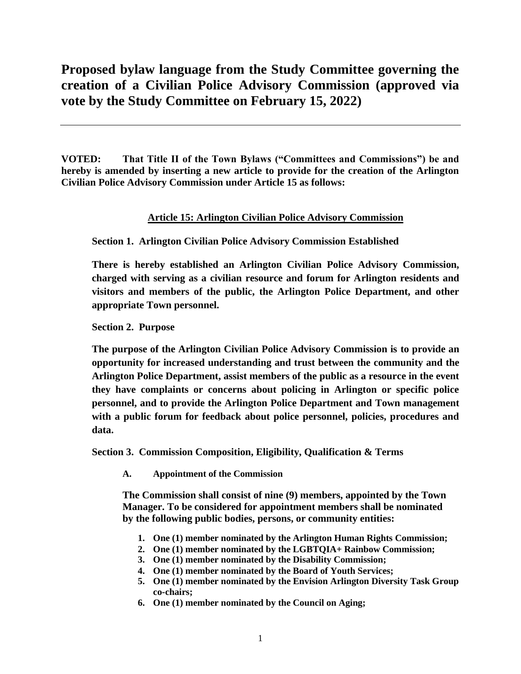# **Proposed bylaw language from the Study Committee governing the creation of a Civilian Police Advisory Commission (approved via vote by the Study Committee on February 15, 2022)**

**VOTED: That Title II of the Town Bylaws ("Committees and Commissions") be and hereby is amended by inserting a new article to provide for the creation of the Arlington Civilian Police Advisory Commission under Article 15 as follows:**

### **Article 15: Arlington Civilian Police Advisory Commission**

**Section 1. Arlington Civilian Police Advisory Commission Established** 

**There is hereby established an Arlington Civilian Police Advisory Commission, charged with serving as a civilian resource and forum for Arlington residents and visitors and members of the public, the Arlington Police Department, and other appropriate Town personnel.**

**Section 2. Purpose**

**The purpose of the Arlington Civilian Police Advisory Commission is to provide an opportunity for increased understanding and trust between the community and the Arlington Police Department, assist members of the public as a resource in the event they have complaints or concerns about policing in Arlington or specific police personnel, and to provide the Arlington Police Department and Town management with a public forum for feedback about police personnel, policies, procedures and data.** 

**Section 3. Commission Composition, Eligibility, Qualification & Terms**

**A. Appointment of the Commission**

**The Commission shall consist of nine (9) members, appointed by the Town Manager. To be considered for appointment members shall be nominated by the following public bodies, persons, or community entities:**

- **1. One (1) member nominated by the Arlington Human Rights Commission;**
- **2. One (1) member nominated by the LGBTQIA+ Rainbow Commission;**
- **3. One (1) member nominated by the Disability Commission;**
- **4. One (1) member nominated by the Board of Youth Services;**
- **5. One (1) member nominated by the Envision Arlington Diversity Task Group co-chairs;**
- **6. One (1) member nominated by the Council on Aging;**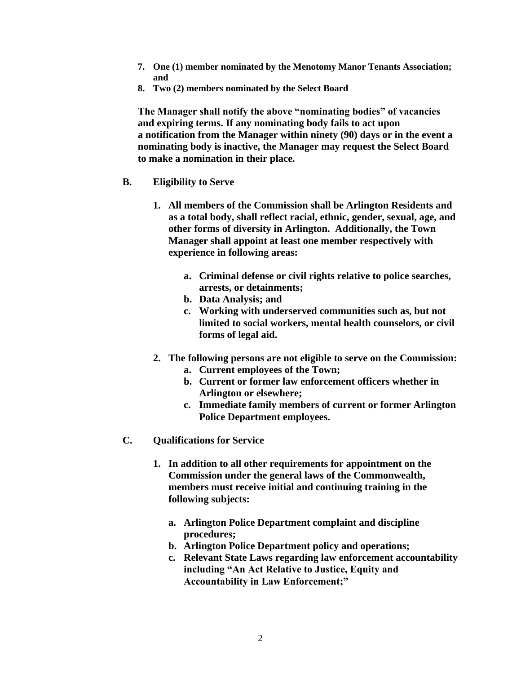- **7. One (1) member nominated by the Menotomy Manor Tenants Association; and**
- **8. Two (2) members nominated by the Select Board**

**The Manager shall notify the above "nominating bodies" of vacancies and expiring terms. If any nominating body fails to act upon a notification from the Manager within ninety (90) days or in the event a nominating body is inactive, the Manager may request the Select Board to make a nomination in their place.**

- **B. Eligibility to Serve**
	- **1. All members of the Commission shall be Arlington Residents and as a total body, shall reflect racial, ethnic, gender, sexual, age, and other forms of diversity in Arlington. Additionally, the Town Manager shall appoint at least one member respectively with experience in following areas:**
		- **a. Criminal defense or civil rights relative to police searches, arrests, or detainments;**
		- **b. Data Analysis; and**
		- **c. Working with underserved communities such as, but not limited to social workers, mental health counselors, or civil forms of legal aid.**
	- **2. The following persons are not eligible to serve on the Commission:**
		- **a. Current employees of the Town;**
		- **b. Current or former law enforcement officers whether in Arlington or elsewhere;**
		- **c. Immediate family members of current or former Arlington Police Department employees.**
- **C. Qualifications for Service**
	- **1. In addition to all other requirements for appointment on the Commission under the general laws of the Commonwealth, members must receive initial and continuing training in the following subjects:**
		- **a. Arlington Police Department complaint and discipline procedures;**
		- **b. Arlington Police Department policy and operations;**
		- **c. Relevant State Laws regarding law enforcement accountability including "An Act Relative to Justice, Equity and Accountability in Law Enforcement;"**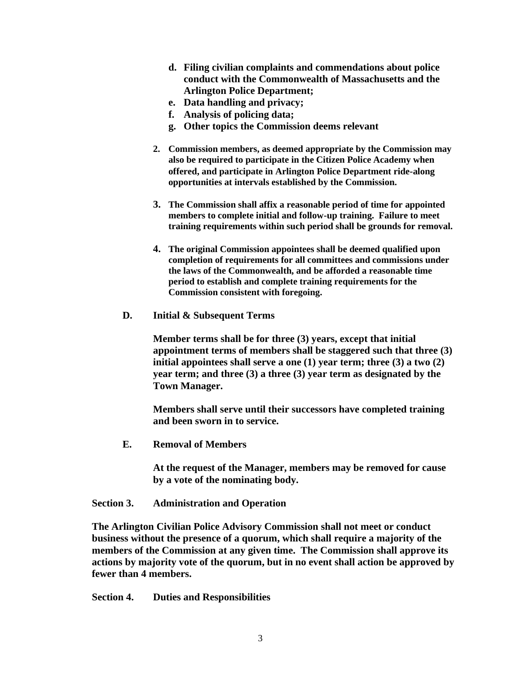- **d. Filing civilian complaints and commendations about police conduct with the Commonwealth of Massachusetts and the Arlington Police Department;**
- **e. Data handling and privacy;**
- **f. Analysis of policing data;**
- **g. Other topics the Commission deems relevant**
- **2. Commission members, as deemed appropriate by the Commission may also be required to participate in the Citizen Police Academy when offered, and participate in Arlington Police Department ride-along opportunities at intervals established by the Commission.**
- **3. The Commission shall affix a reasonable period of time for appointed members to complete initial and follow-up training. Failure to meet training requirements within such period shall be grounds for removal.**
- **4. The original Commission appointees shall be deemed qualified upon completion of requirements for all committees and commissions under the laws of the Commonwealth, and be afforded a reasonable time period to establish and complete training requirements for the Commission consistent with foregoing.**
- **D. Initial & Subsequent Terms**

**Member terms shall be for three (3) years, except that initial appointment terms of members shall be staggered such that three (3) initial appointees shall serve a one (1) year term; three (3) a two (2) year term; and three (3) a three (3) year term as designated by the Town Manager.**

**Members shall serve until their successors have completed training and been sworn in to service.**

**E. Removal of Members**

**At the request of the Manager, members may be removed for cause by a vote of the nominating body.**

#### **Section 3. Administration and Operation**

**The Arlington Civilian Police Advisory Commission shall not meet or conduct business without the presence of a quorum, which shall require a majority of the members of the Commission at any given time. The Commission shall approve its actions by majority vote of the quorum, but in no event shall action be approved by fewer than 4 members.**

**Section 4. Duties and Responsibilities**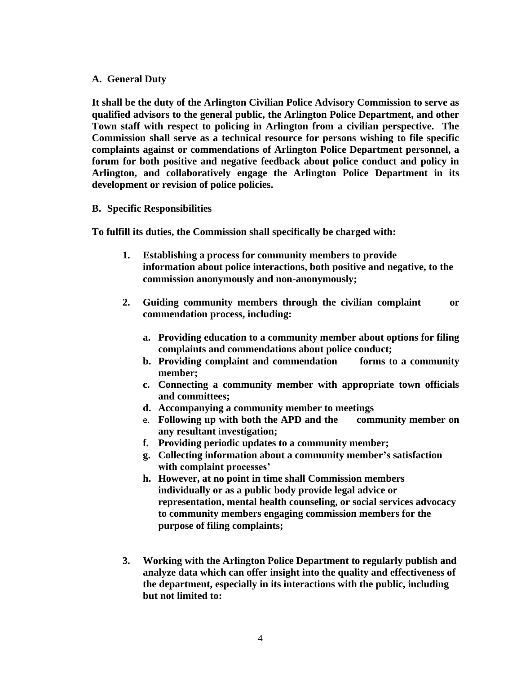### **A. General Duty**

**It shall be the duty of the Arlington Civilian Police Advisory Commission to serve as qualified advisors to the general public, the Arlington Police Department, and other Town staff with respect to policing in Arlington from a civilian perspective. The Commission shall serve as a technical resource for persons wishing to file specific complaints against or commendations of Arlington Police Department personnel, a forum for both positive and negative feedback about police conduct and policy in Arlington, and collaboratively engage the Arlington Police Department in its development or revision of police policies.**

#### **B. Specific Responsibilities**

**To fulfill its duties, the Commission shall specifically be charged with:**

- **1. Establishing a process for community members to provide information about police interactions, both positive and negative, to the commission anonymously and non-anonymously;**
- **2. Guiding community members through the civilian complaint or commendation process, including:**
	- **a. Providing education to a community member about options for filing complaints and commendations about police conduct;**
	- **b. Providing complaint and commendation forms to a community member;**
	- **c. Connecting a community member with appropriate town officials and committees;**
	- **d. Accompanying a community member to meetings**
	- e. **Following up with both the APD and the community member on any resultant** i**nvestigation;**
	- **f. Providing periodic updates to a community member;**
	- **g. Collecting information about a community member's satisfaction with complaint processes'**
	- **h. However, at no point in time shall Commission members individually or as a public body provide legal advice or representation, mental health counseling, or social services advocacy to community members engaging commission members for the purpose of filing complaints;**
- **3. Working with the Arlington Police Department to regularly publish and analyze data which can offer insight into the quality and effectiveness of the department, especially in its interactions with the public, including but not limited to:**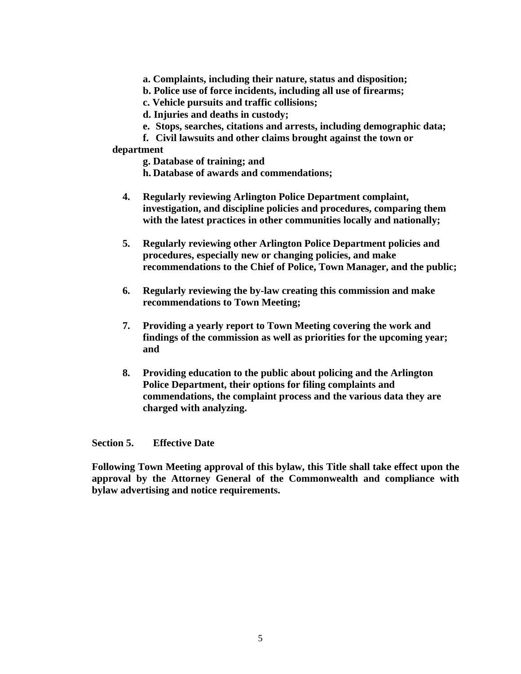**a. Complaints, including their nature, status and disposition;**

- **b. Police use of force incidents, including all use of firearms;**
- **c. Vehicle pursuits and traffic collisions;**

**d. Injuries and deaths in custody;**

- **e. Stops, searches, citations and arrests, including demographic data;**
- **f. Civil lawsuits and other claims brought against the town or**

### **department**

- **g. Database of training; and**
- **h. Database of awards and commendations;**
- **4. Regularly reviewing Arlington Police Department complaint, investigation, and discipline policies and procedures, comparing them with the latest practices in other communities locally and nationally;**
- **5. Regularly reviewing other Arlington Police Department policies and procedures, especially new or changing policies, and make recommendations to the Chief of Police, Town Manager, and the public;**
- **6. Regularly reviewing the by-law creating this commission and make recommendations to Town Meeting;**
- **7. Providing a yearly report to Town Meeting covering the work and findings of the commission as well as priorities for the upcoming year; and**
- **8. Providing education to the public about policing and the Arlington Police Department, their options for filing complaints and commendations, the complaint process and the various data they are charged with analyzing.**

### **Section 5. Effective Date**

**Following Town Meeting approval of this bylaw, this Title shall take effect upon the approval by the Attorney General of the Commonwealth and compliance with bylaw advertising and notice requirements.**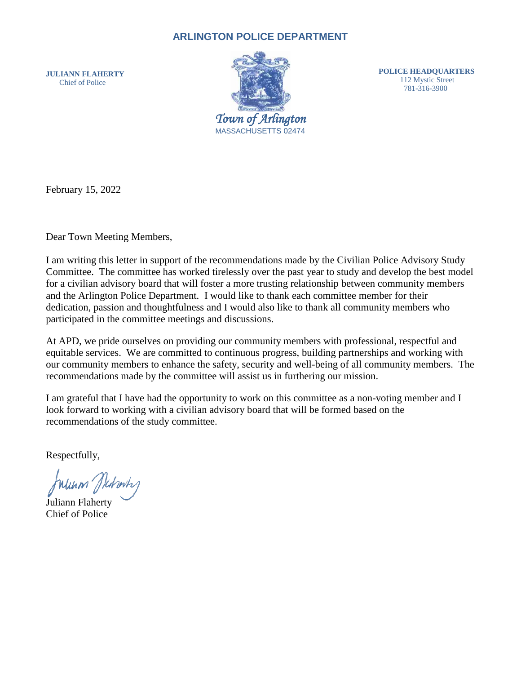## **ARLINGTON POLICE DEPARTMENT**

**JULIANN FLAHERTY** Chief of Police



**POLICE HEADQUARTERS** 112 Mystic Street 781-316-3900

February 15, 2022

Dear Town Meeting Members,

I am writing this letter in support of the recommendations made by the Civilian Police Advisory Study Committee. The committee has worked tirelessly over the past year to study and develop the best model for a civilian advisory board that will foster a more trusting relationship between community members and the Arlington Police Department. I would like to thank each committee member for their dedication, passion and thoughtfulness and I would also like to thank all community members who participated in the committee meetings and discussions.

At APD, we pride ourselves on providing our community members with professional, respectful and equitable services. We are committed to continuous progress, building partnerships and working with our community members to enhance the safety, security and well-being of all community members. The recommendations made by the committee will assist us in furthering our mission.

I am grateful that I have had the opportunity to work on this committee as a non-voting member and I look forward to working with a civilian advisory board that will be formed based on the recommendations of the study committee.

Respectfully,

Wunn Jichmh

Juliann Flaherty Chief of Police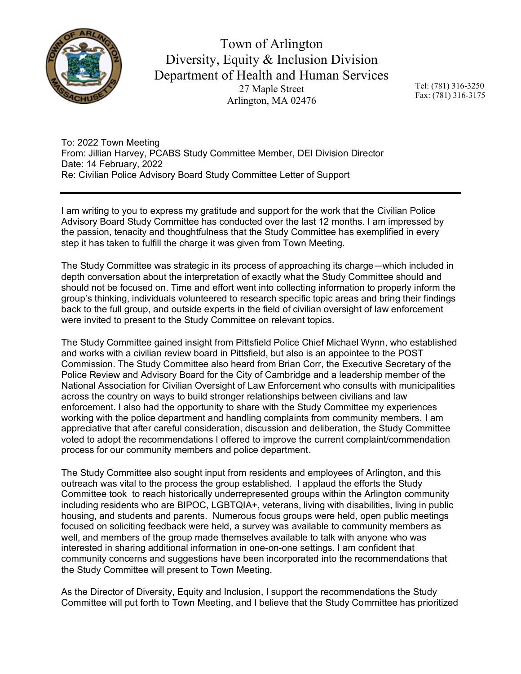

Town of Arlington Diversity, Equity & Inclusion Division Department of Health and Human Services 27 Maple Street Arlington, MA 02476

Tel: (781) 316-3250 Fax: (781) 316-3175

To: 2022 Town Meeting From: Jillian Harvey, PCABS Study Committee Member, DEI Division Director Date: 14 February, 2022 Re: Civilian Police Advisory Board Study Committee Letter of Support

I am writing to you to express my gratitude and support for the work that the Civilian Police Advisory Board Study Committee has conducted over the last 12 months. I am impressed by the passion, tenacity and thoughtfulness that the Study Committee has exemplified in every step it has taken to fulfill the charge it was given from Town Meeting.

The Study Committee was strategic in its process of approaching its charge—which included in depth conversation about the interpretation of exactly what the Study Committee should and should not be focused on. Time and effort went into collecting information to properly inform the group's thinking, individuals volunteered to research specific topic areas and bring their findings back to the full group, and outside experts in the field of civilian oversight of law enforcement were invited to present to the Study Committee on relevant topics.

The Study Committee gained insight from Pittsfield Police Chief Michael Wynn, who established and works with a civilian review board in Pittsfield, but also is an appointee to the POST Commission. The Study Committee also heard from Brian Corr, the Executive Secretary of the Police Review and Advisory Board for the City of Cambridge and a leadership member of the National Association for Civilian Oversight of Law Enforcement who consults with municipalities across the country on ways to build stronger relationships between civilians and law enforcement. I also had the opportunity to share with the Study Committee my experiences working with the police department and handling complaints from community members. I am appreciative that after careful consideration, discussion and deliberation, the Study Committee voted to adopt the recommendations I offered to improve the current complaint/commendation process for our community members and police department.

The Study Committee also sought input from residents and employees of Arlington, and this outreach was vital to the process the group established. I applaud the efforts the Study Committee took to reach historically underrepresented groups within the Arlington community including residents who are BIPOC, LGBTQIA+, veterans, living with disabilities, living in public housing, and students and parents. Numerous focus groups were held, open public meetings focused on soliciting feedback were held, a survey was available to community members as well, and members of the group made themselves available to talk with anyone who was interested in sharing additional information in one-on-one settings. I am confident that community concerns and suggestions have been incorporated into the recommendations that the Study Committee will present to Town Meeting.

As the Director of Diversity, Equity and Inclusion, I support the recommendations the Study Committee will put forth to Town Meeting, and I believe that the Study Committee has prioritized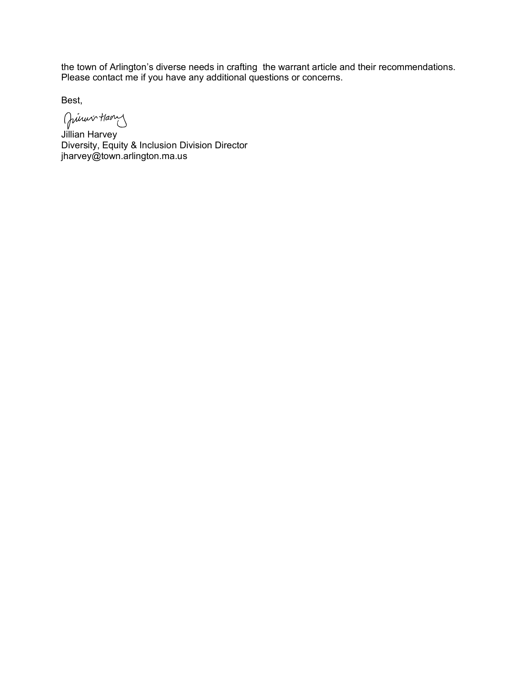the town of Arlington's diverse needs in crafting the warrant article and their recommendations. Please contact me if you have any additional questions or concerns.

Best,

Juiner Haven

Jillian Harvey Diversity, Equity & Inclusion Division Director jharvey@town.arlington.ma.us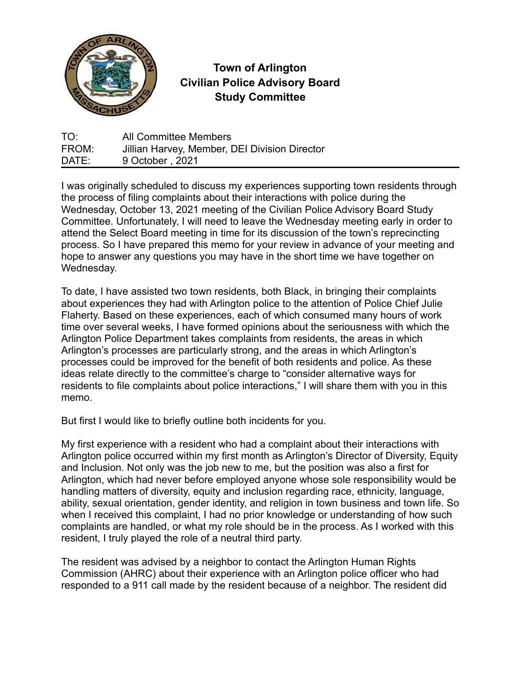

# **Town of Arlington Civilian Police Advisory Board Study Committee**

TO: All Committee Members FROM: Jillian Harvey, Member, DEI Division Director DATE: 9 October, 2021

I was originally scheduled to discuss my experiences supporting town residents through the process of filing complaints about their interactions with police during the Wednesday, October 13, 2021 meeting of the Civilian Police Advisory Board Study Committee. Unfortunately, I will need to leave the Wednesday meeting early in order to attend the Select Board meeting in time for its discussion of the town's reprecincting process. So I have prepared this memo for your review in advance of your meeting and hope to answer any questions you may have in the short time we have together on Wednesday.

To date, I have assisted two town residents, both Black, in bringing their complaints about experiences they had with Arlington police to the attention of Police Chief Julie Flaherty. Based on these experiences, each of which consumed many hours of work time over several weeks, I have formed opinions about the seriousness with which the Arlington Police Department takes complaints from residents, the areas in which Arlington's processes are particularly strong, and the areas in which Arlington's processes could be improved for the benefit of both residents and police. As these ideas relate directly to the committee's charge to "consider alternative ways for residents to file complaints about police interactions," I will share them with you in this memo.

But first I would like to briefly outline both incidents for you.

My first experience with a resident who had a complaint about their interactions with Arlington police occurred within my first month as Arlington's Director of Diversity, Equity and Inclusion. Not only was the job new to me, but the position was also a first for Arlington, which had never before employed anyone whose sole responsibility would be handling matters of diversity, equity and inclusion regarding race, ethnicity, language, ability, sexual orientation, gender identity, and religion in town business and town life. So when I received this complaint, I had no prior knowledge or understanding of how such complaints are handled, or what my role should be in the process. As I worked with this resident, I truly played the role of a neutral third party.

The resident was advised by a neighbor to contact the Arlington Human Rights Commission (AHRC) about their experience with an Arlington police officer who had responded to a 911 call made by the resident because of a neighbor. The resident did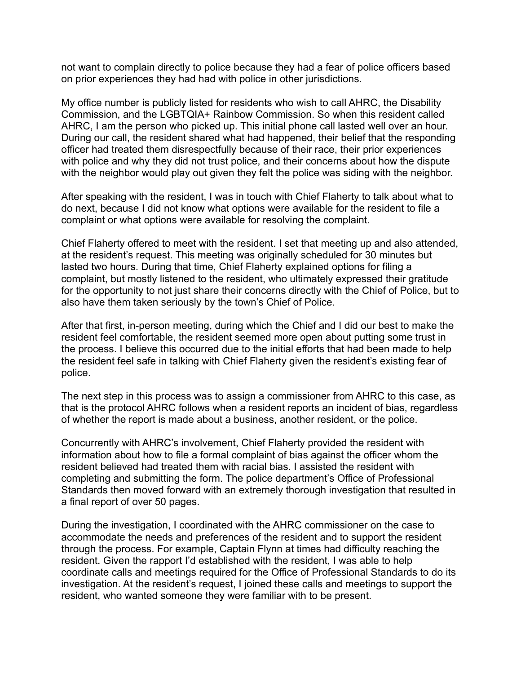not want to complain directly to police because they had a fear of police officers based on prior experiences they had had with police in other jurisdictions.

My office number is publicly listed for residents who wish to call AHRC, the Disability Commission, and the LGBTQIA+ Rainbow Commission. So when this resident called AHRC, I am the person who picked up. This initial phone call lasted well over an hour. During our call, the resident shared what had happened, their belief that the responding officer had treated them disrespectfully because of their race, their prior experiences with police and why they did not trust police, and their concerns about how the dispute with the neighbor would play out given they felt the police was siding with the neighbor.

After speaking with the resident, I was in touch with Chief Flaherty to talk about what to do next, because I did not know what options were available for the resident to file a complaint or what options were available for resolving the complaint.

Chief Flaherty offered to meet with the resident. I set that meeting up and also attended, at the resident's request. This meeting was originally scheduled for 30 minutes but lasted two hours. During that time, Chief Flaherty explained options for filing a complaint, but mostly listened to the resident, who ultimately expressed their gratitude for the opportunity to not just share their concerns directly with the Chief of Police, but to also have them taken seriously by the town's Chief of Police.

After that first, in-person meeting, during which the Chief and I did our best to make the resident feel comfortable, the resident seemed more open about putting some trust in the process. I believe this occurred due to the initial efforts that had been made to help the resident feel safe in talking with Chief Flaherty given the resident's existing fear of police.

The next step in this process was to assign a commissioner from AHRC to this case, as that is the protocol AHRC follows when a resident reports an incident of bias, regardless of whether the report is made about a business, another resident, or the police.

Concurrently with AHRC's involvement, Chief Flaherty provided the resident with information about how to file a formal complaint of bias against the officer whom the resident believed had treated them with racial bias. I assisted the resident with completing and submitting the form. The police department's Office of Professional Standards then moved forward with an extremely thorough investigation that resulted in a final report of over 50 pages.

During the investigation, I coordinated with the AHRC commissioner on the case to accommodate the needs and preferences of the resident and to support the resident through the process. For example, Captain Flynn at times had difficulty reaching the resident. Given the rapport I'd established with the resident, I was able to help coordinate calls and meetings required for the Office of Professional Standards to do its investigation. At the resident's request, I joined these calls and meetings to support the resident, who wanted someone they were familiar with to be present.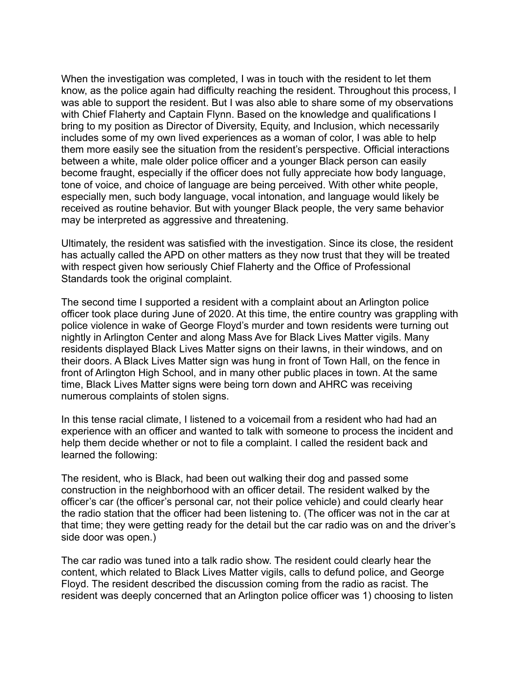When the investigation was completed, I was in touch with the resident to let them know, as the police again had difficulty reaching the resident. Throughout this process, I was able to support the resident. But I was also able to share some of my observations with Chief Flaherty and Captain Flynn. Based on the knowledge and qualifications I bring to my position as Director of Diversity, Equity, and Inclusion, which necessarily includes some of my own lived experiences as a woman of color, I was able to help them more easily see the situation from the resident's perspective. Official interactions between a white, male older police officer and a younger Black person can easily become fraught, especially if the officer does not fully appreciate how body language, tone of voice, and choice of language are being perceived. With other white people, especially men, such body language, vocal intonation, and language would likely be received as routine behavior. But with younger Black people, the very same behavior may be interpreted as aggressive and threatening.

Ultimately, the resident was satisfied with the investigation. Since its close, the resident has actually called the APD on other matters as they now trust that they will be treated with respect given how seriously Chief Flaherty and the Office of Professional Standards took the original complaint.

The second time I supported a resident with a complaint about an Arlington police officer took place during June of 2020. At this time, the entire country was grappling with police violence in wake of George Floyd's murder and town residents were turning out nightly in Arlington Center and along Mass Ave for Black Lives Matter vigils. Many residents displayed Black Lives Matter signs on their lawns, in their windows, and on their doors. A Black Lives Matter sign was hung in front of Town Hall, on the fence in front of Arlington High School, and in many other public places in town. At the same time, Black Lives Matter signs were being torn down and AHRC was receiving numerous complaints of stolen signs.

In this tense racial climate, I listened to a voicemail from a resident who had had an experience with an officer and wanted to talk with someone to process the incident and help them decide whether or not to file a complaint. I called the resident back and learned the following:

The resident, who is Black, had been out walking their dog and passed some construction in the neighborhood with an officer detail. The resident walked by the officer's car (the officer's personal car, not their police vehicle) and could clearly hear the radio station that the officer had been listening to. (The officer was not in the car at that time; they were getting ready for the detail but the car radio was on and the driver's side door was open.)

The car radio was tuned into a talk radio show. The resident could clearly hear the content, which related to Black Lives Matter vigils, calls to defund police, and George Floyd. The resident described the discussion coming from the radio as racist. The resident was deeply concerned that an Arlington police officer was 1) choosing to listen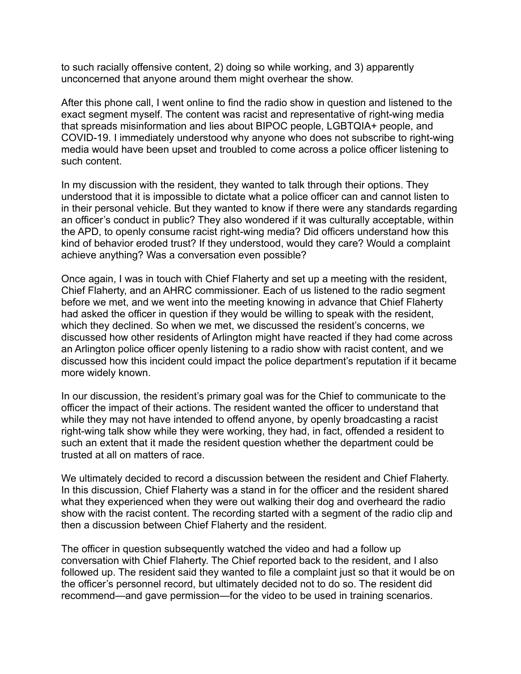to such racially offensive content, 2) doing so while working, and 3) apparently unconcerned that anyone around them might overhear the show.

After this phone call, I went online to find the radio show in question and listened to the exact segment myself. The content was racist and representative of right-wing media that spreads misinformation and lies about BIPOC people, LGBTQIA+ people, and COVID-19. I immediately understood why anyone who does not subscribe to right-wing media would have been upset and troubled to come across a police officer listening to such content.

In my discussion with the resident, they wanted to talk through their options. They understood that it is impossible to dictate what a police officer can and cannot listen to in their personal vehicle. But they wanted to know if there were any standards regarding an officer's conduct in public? They also wondered if it was culturally acceptable, within the APD, to openly consume racist right-wing media? Did officers understand how this kind of behavior eroded trust? If they understood, would they care? Would a complaint achieve anything? Was a conversation even possible?

Once again, I was in touch with Chief Flaherty and set up a meeting with the resident, Chief Flaherty, and an AHRC commissioner. Each of us listened to the radio segment before we met, and we went into the meeting knowing in advance that Chief Flaherty had asked the officer in question if they would be willing to speak with the resident, which they declined. So when we met, we discussed the resident's concerns, we discussed how other residents of Arlington might have reacted if they had come across an Arlington police officer openly listening to a radio show with racist content, and we discussed how this incident could impact the police department's reputation if it became more widely known.

In our discussion, the resident's primary goal was for the Chief to communicate to the officer the impact of their actions. The resident wanted the officer to understand that while they may not have intended to offend anyone, by openly broadcasting a racist right-wing talk show while they were working, they had, in fact, offended a resident to such an extent that it made the resident question whether the department could be trusted at all on matters of race.

We ultimately decided to record a discussion between the resident and Chief Flaherty. In this discussion, Chief Flaherty was a stand in for the officer and the resident shared what they experienced when they were out walking their dog and overheard the radio show with the racist content. The recording started with a segment of the radio clip and then a discussion between Chief Flaherty and the resident.

The officer in question subsequently watched the video and had a follow up conversation with Chief Flaherty. The Chief reported back to the resident, and I also followed up. The resident said they wanted to file a complaint just so that it would be on the officer's personnel record, but ultimately decided not to do so. The resident did recommend—and gave permission—for the video to be used in training scenarios.